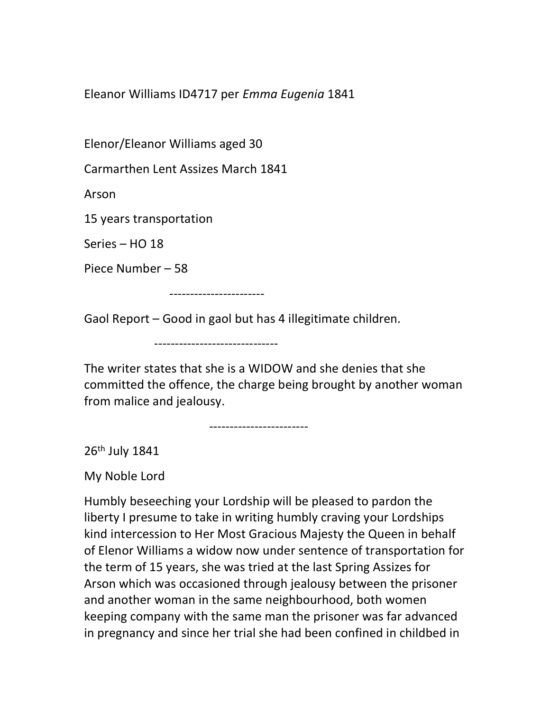Eleanor Williams ID4717 per Emma Eugenia 1841

Elenor/Eleanor Williams aged 30

Carmarthen Lent Assizes March 1841

Arson

15 years transportation

Series – HO 18

Piece Number – 58

-----------------------

Gaol Report – Good in gaol but has 4 illegitimate children.

------------------------------

The writer states that she is a WIDOW and she denies that she committed the offence, the charge being brought by another woman from malice and jealousy.

------------------------

26th July 1841

My Noble Lord

Humbly beseeching your Lordship will be pleased to pardon the liberty I presume to take in writing humbly craving your Lordships kind intercession to Her Most Gracious Majesty the Queen in behalf of Elenor Williams a widow now under sentence of transportation for the term of 15 years, she was tried at the last Spring Assizes for Arson which was occasioned through jealousy between the prisoner and another woman in the same neighbourhood, both women keeping company with the same man the prisoner was far advanced in pregnancy and since her trial she had been confined in childbed in